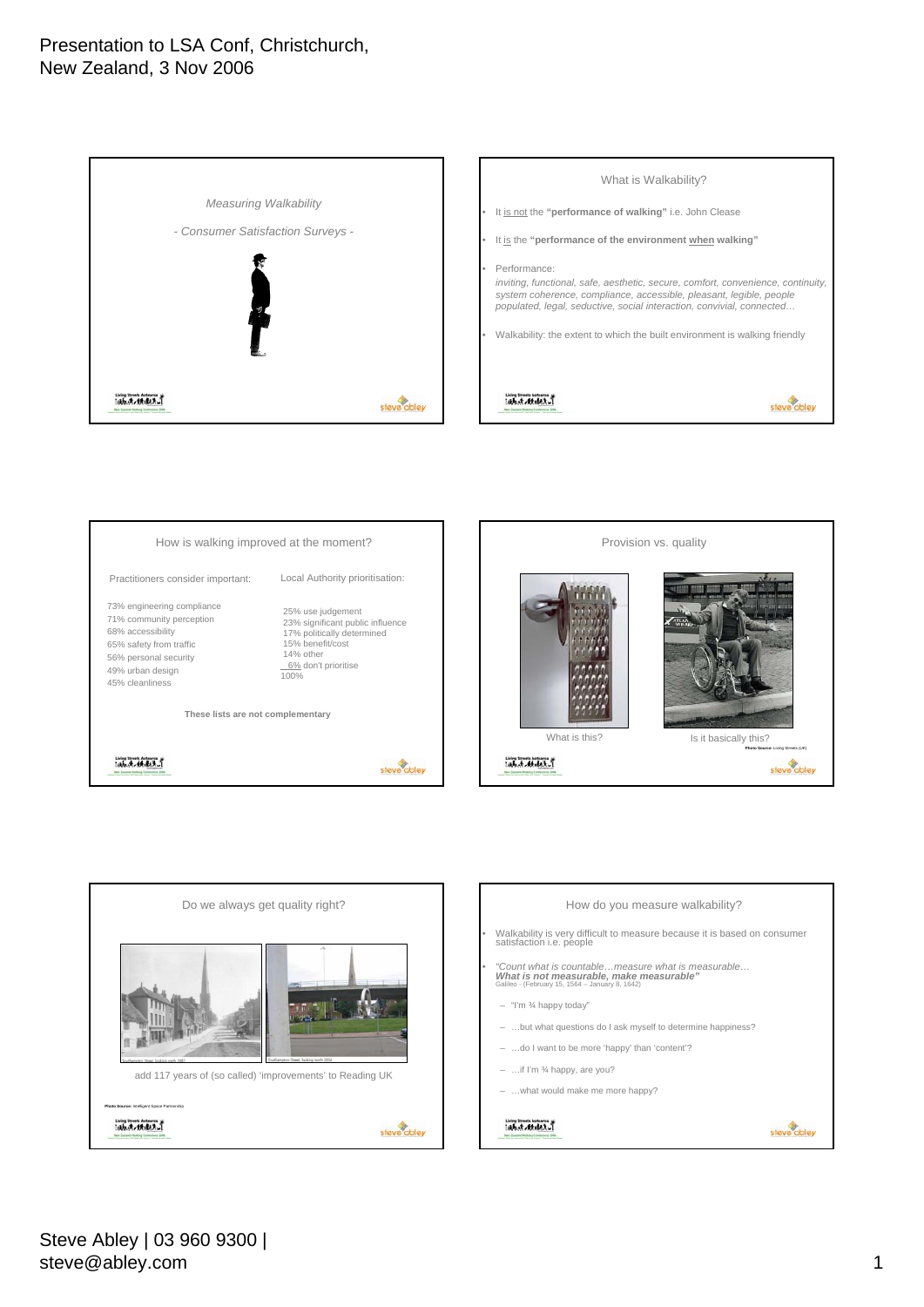





![](_page_0_Figure_4.jpeg)

![](_page_0_Figure_5.jpeg)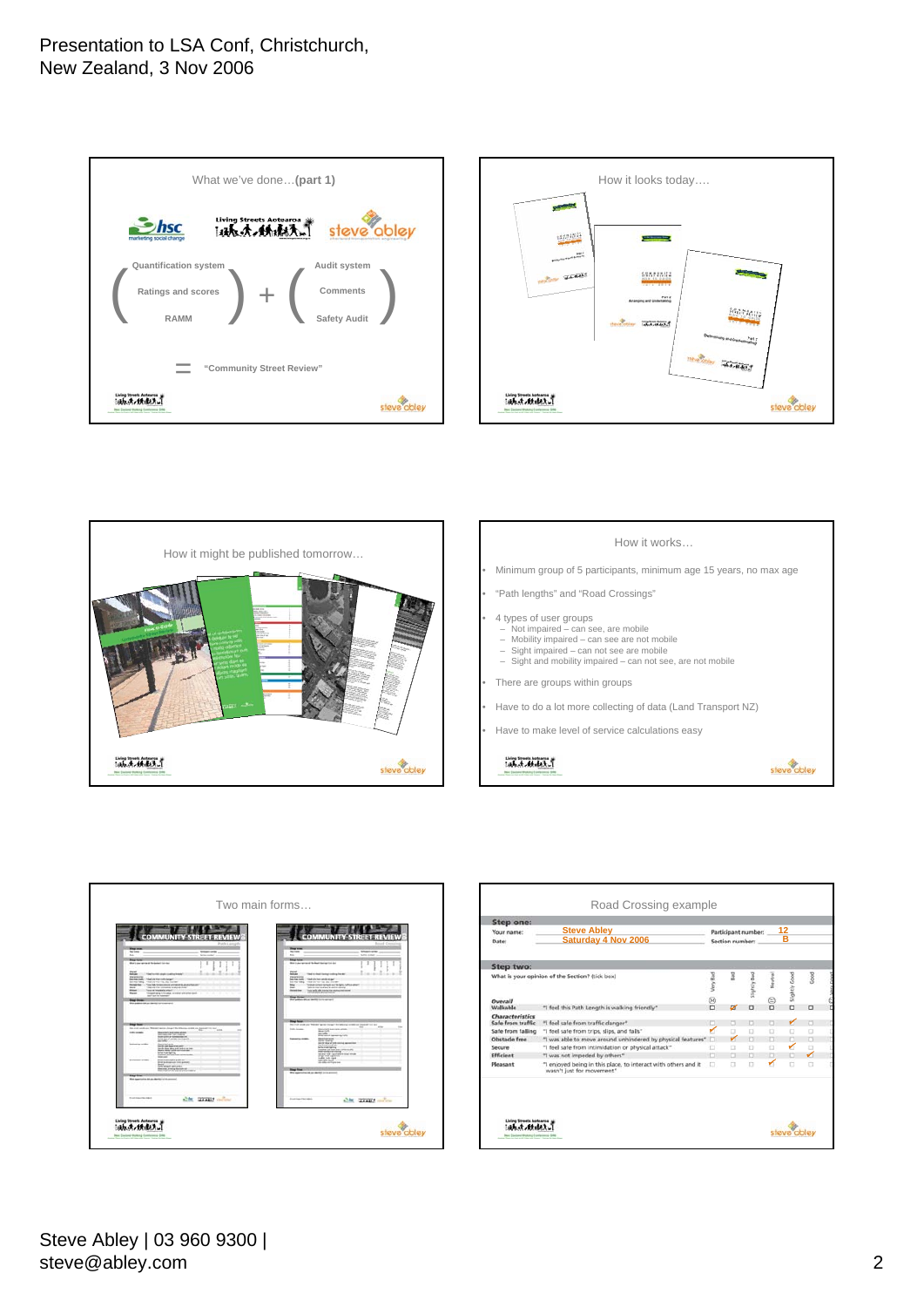![](_page_1_Figure_1.jpeg)

![](_page_1_Figure_2.jpeg)

![](_page_1_Picture_3.jpeg)

![](_page_1_Figure_4.jpeg)

steve abley

- Minimum group of 5 participants, minimum age 15 years, no max age
- "Path lengths" and "Road Crossings"
- 4 types of user groups
- Not impaired can see, are mobile
- Mobility impaired can see are not mobile
- Sight impaired can not see are mobile Sight and mobility impaired can not see, are not mobile
- There are groups within groups
- Have to do a lot more collecting of data (Land Transport NZ)
- Have to make level of service calculations easy

 $[ab, d, d, d, b, \bar{x}]$ 

![](_page_1_Figure_15.jpeg)

![](_page_1_Figure_16.jpeg)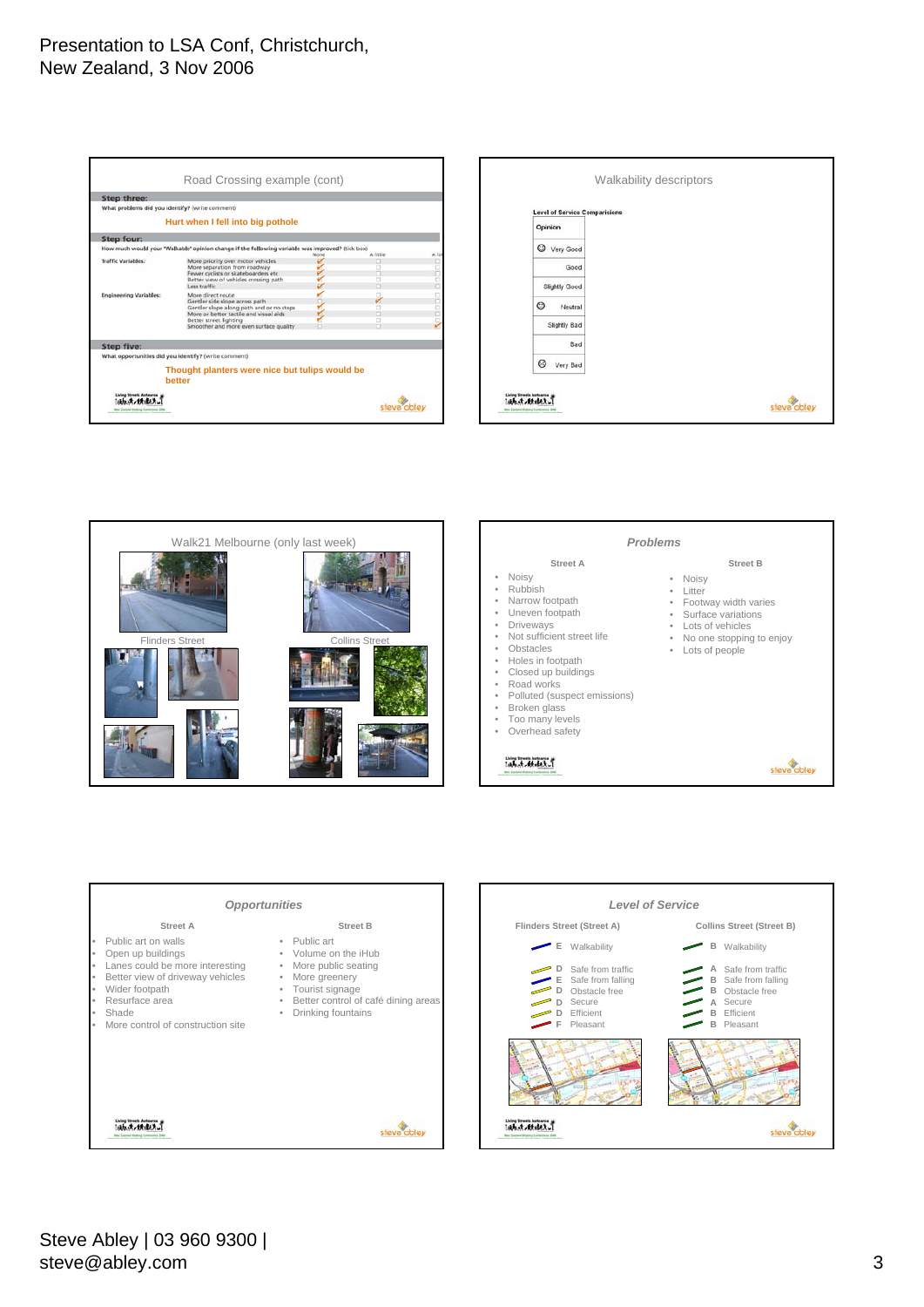![](_page_2_Figure_1.jpeg)

![](_page_2_Figure_2.jpeg)

![](_page_2_Picture_3.jpeg)

![](_page_2_Figure_4.jpeg)

![](_page_2_Figure_5.jpeg)

![](_page_2_Figure_6.jpeg)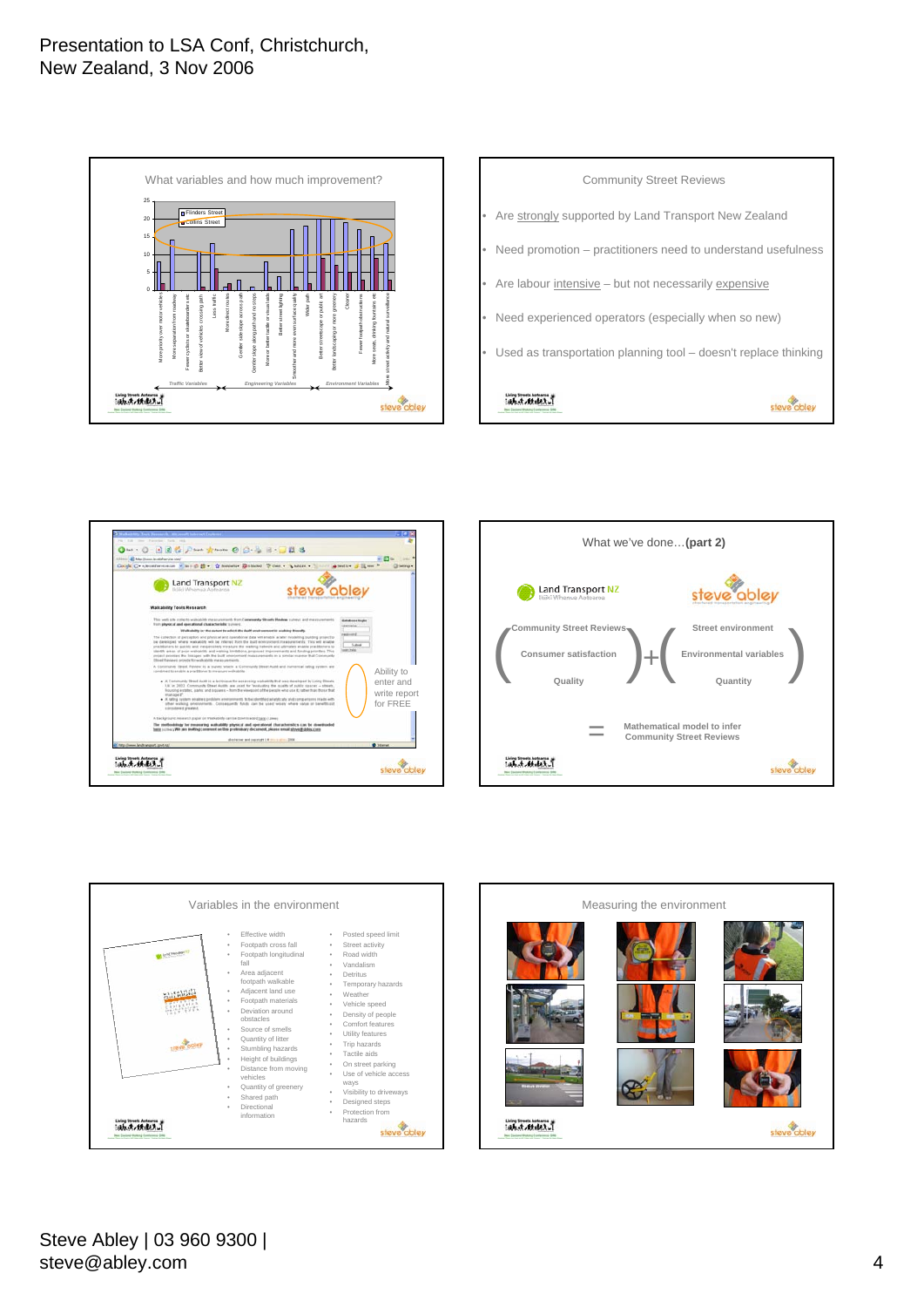![](_page_3_Figure_1.jpeg)

![](_page_3_Figure_2.jpeg)

![](_page_3_Picture_3.jpeg)

![](_page_3_Figure_4.jpeg)

![](_page_3_Figure_5.jpeg)

![](_page_3_Figure_6.jpeg)

Steve Abley | 03 960 9300 | steve@abley.com 4